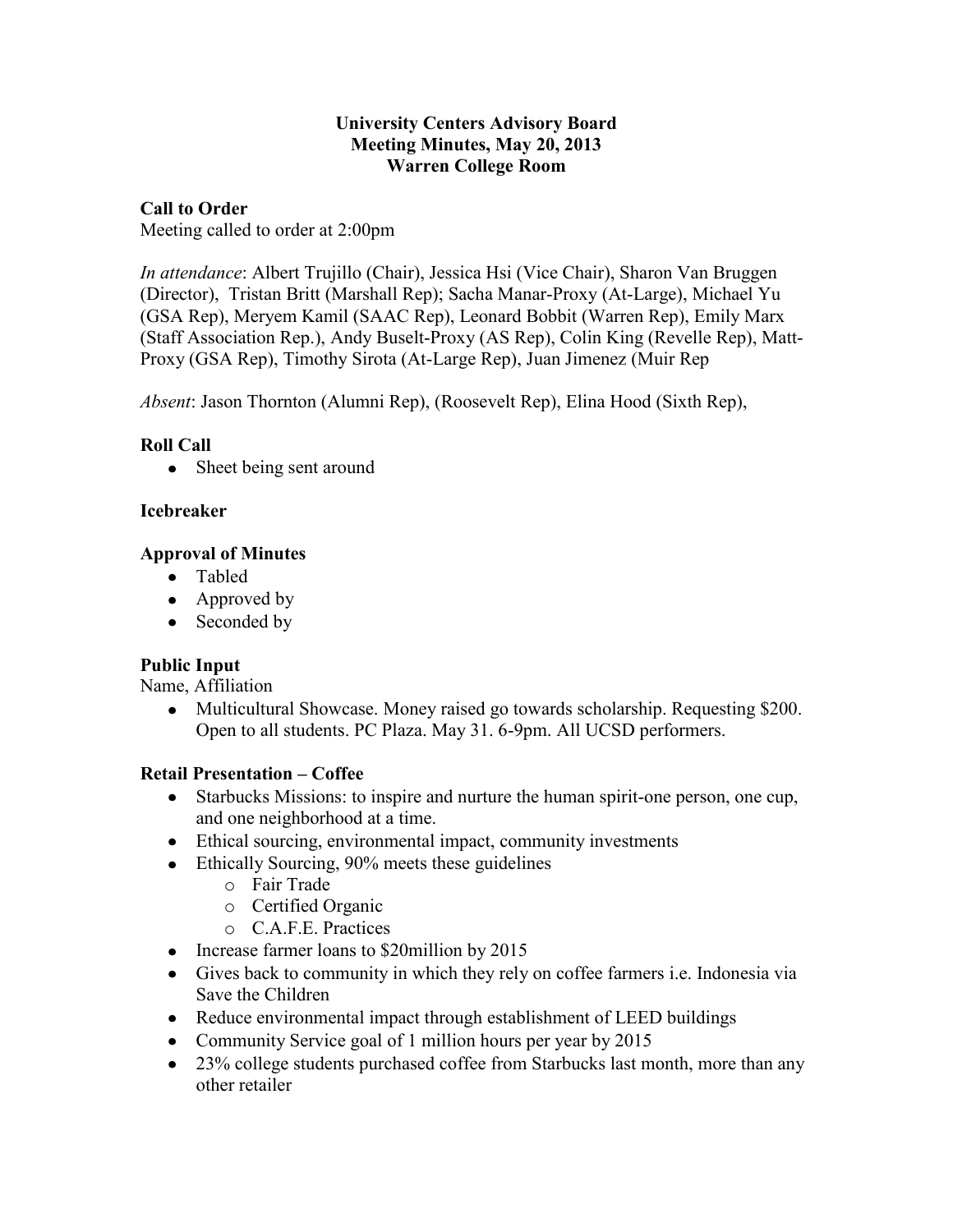#### **University Centers Advisory Board Meeting Minutes, May 20, 2013 Warren College Room**

### **Call to Order**

Meeting called to order at 2:00pm

*In attendance*: Albert Trujillo (Chair), Jessica Hsi (Vice Chair), Sharon Van Bruggen (Director), Tristan Britt (Marshall Rep); Sacha Manar-Proxy (At-Large), Michael Yu (GSA Rep), Meryem Kamil (SAAC Rep), Leonard Bobbit (Warren Rep), Emily Marx (Staff Association Rep.), Andy Buselt-Proxy (AS Rep), Colin King (Revelle Rep), Matt-Proxy (GSA Rep), Timothy Sirota (At-Large Rep), Juan Jimenez (Muir Rep

*Absent*: Jason Thornton (Alumni Rep), (Roosevelt Rep), Elina Hood (Sixth Rep),

# **Roll Call**

• Sheet being sent around

## **Icebreaker**

## **Approval of Minutes**

- Tabled
- Approved by
- Seconded by

# **Public Input**

Name, Affiliation

• Multicultural Showcase. Money raised go towards scholarship. Requesting \$200. Open to all students. PC Plaza. May 31. 6-9pm. All UCSD performers.

# **Retail Presentation – Coffee**

- Starbucks Missions: to inspire and nurture the human spirit-one person, one cup, and one neighborhood at a time.
- Ethical sourcing, environmental impact, community investments
- Ethically Sourcing, 90% meets these guidelines
	- o Fair Trade
	- o Certified Organic
	- o C.A.F.E. Practices
- Increase farmer loans to \$20million by 2015
- Gives back to community in which they rely on coffee farmers i.e. Indonesia via Save the Children
- Reduce environmental impact through establishment of LEED buildings
- Community Service goal of 1 million hours per year by 2015
- 23% college students purchased coffee from Starbucks last month, more than any other retailer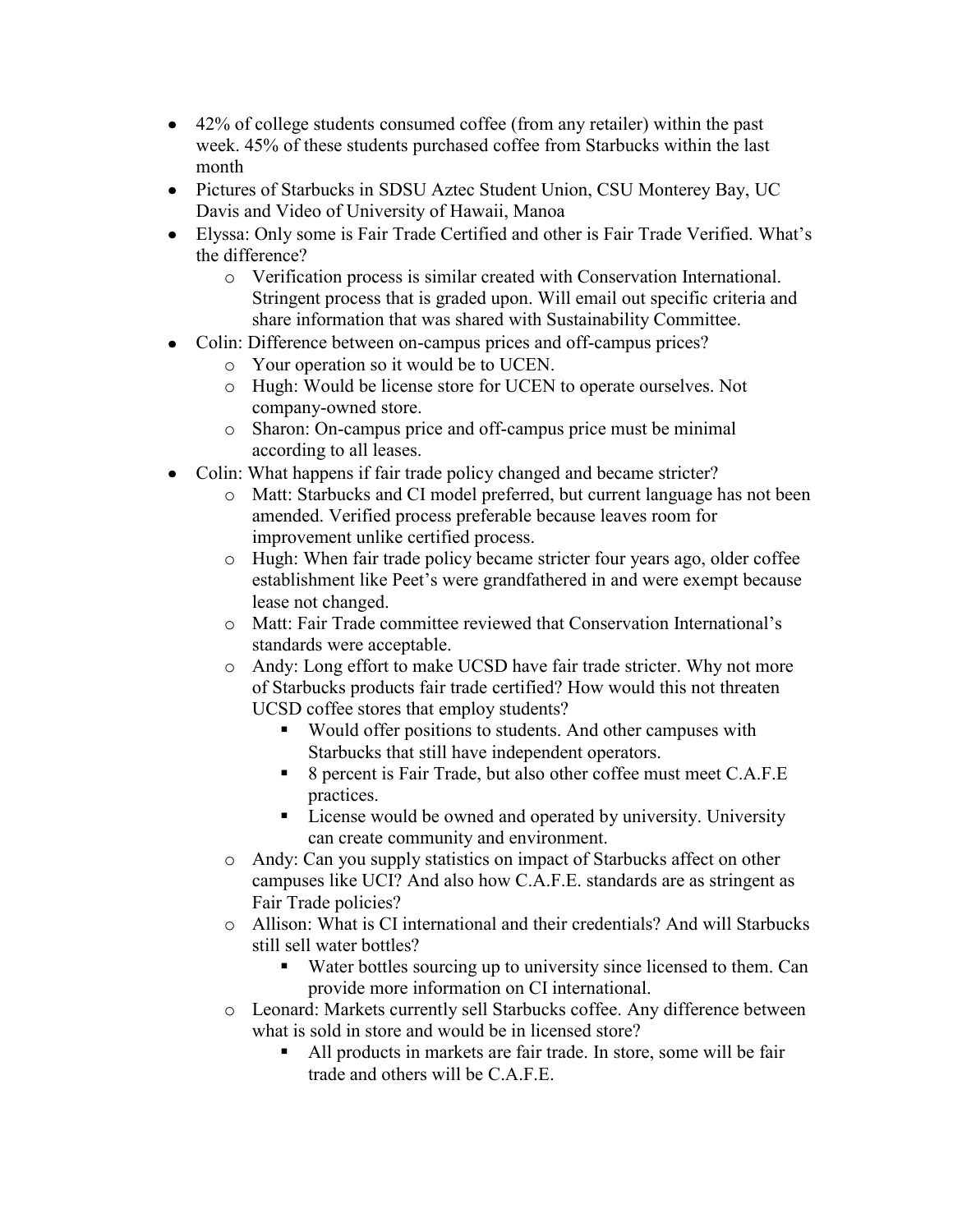- 42% of college students consumed coffee (from any retailer) within the past week. 45% of these students purchased coffee from Starbucks within the last month
- Pictures of Starbucks in SDSU Aztec Student Union, CSU Monterey Bay, UC Davis and Video of University of Hawaii, Manoa
- Elyssa: Only some is Fair Trade Certified and other is Fair Trade Verified. What's the difference?
	- o Verification process is similar created with Conservation International. Stringent process that is graded upon. Will email out specific criteria and share information that was shared with Sustainability Committee.
- Colin: Difference between on-campus prices and off-campus prices?
	- o Your operation so it would be to UCEN.
	- o Hugh: Would be license store for UCEN to operate ourselves. Not company-owned store.
	- o Sharon: On-campus price and off-campus price must be minimal according to all leases.
- Colin: What happens if fair trade policy changed and became stricter?
	- o Matt: Starbucks and CI model preferred, but current language has not been amended. Verified process preferable because leaves room for improvement unlike certified process.
	- o Hugh: When fair trade policy became stricter four years ago, older coffee establishment like Peet's were grandfathered in and were exempt because lease not changed.
	- o Matt: Fair Trade committee reviewed that Conservation International's standards were acceptable.
	- o Andy: Long effort to make UCSD have fair trade stricter. Why not more of Starbucks products fair trade certified? How would this not threaten UCSD coffee stores that employ students?
		- Would offer positions to students. And other campuses with Starbucks that still have independent operators.
		- 8 percent is Fair Trade, but also other coffee must meet C.A.F.E practices.
		- License would be owned and operated by university. University can create community and environment.
	- o Andy: Can you supply statistics on impact of Starbucks affect on other campuses like UCI? And also how C.A.F.E. standards are as stringent as Fair Trade policies?
	- o Allison: What is CI international and their credentials? And will Starbucks still sell water bottles?
		- Water bottles sourcing up to university since licensed to them. Can provide more information on CI international.
	- o Leonard: Markets currently sell Starbucks coffee. Any difference between what is sold in store and would be in licensed store?
		- All products in markets are fair trade. In store, some will be fair trade and others will be  $C$  A  $F$   $E$ .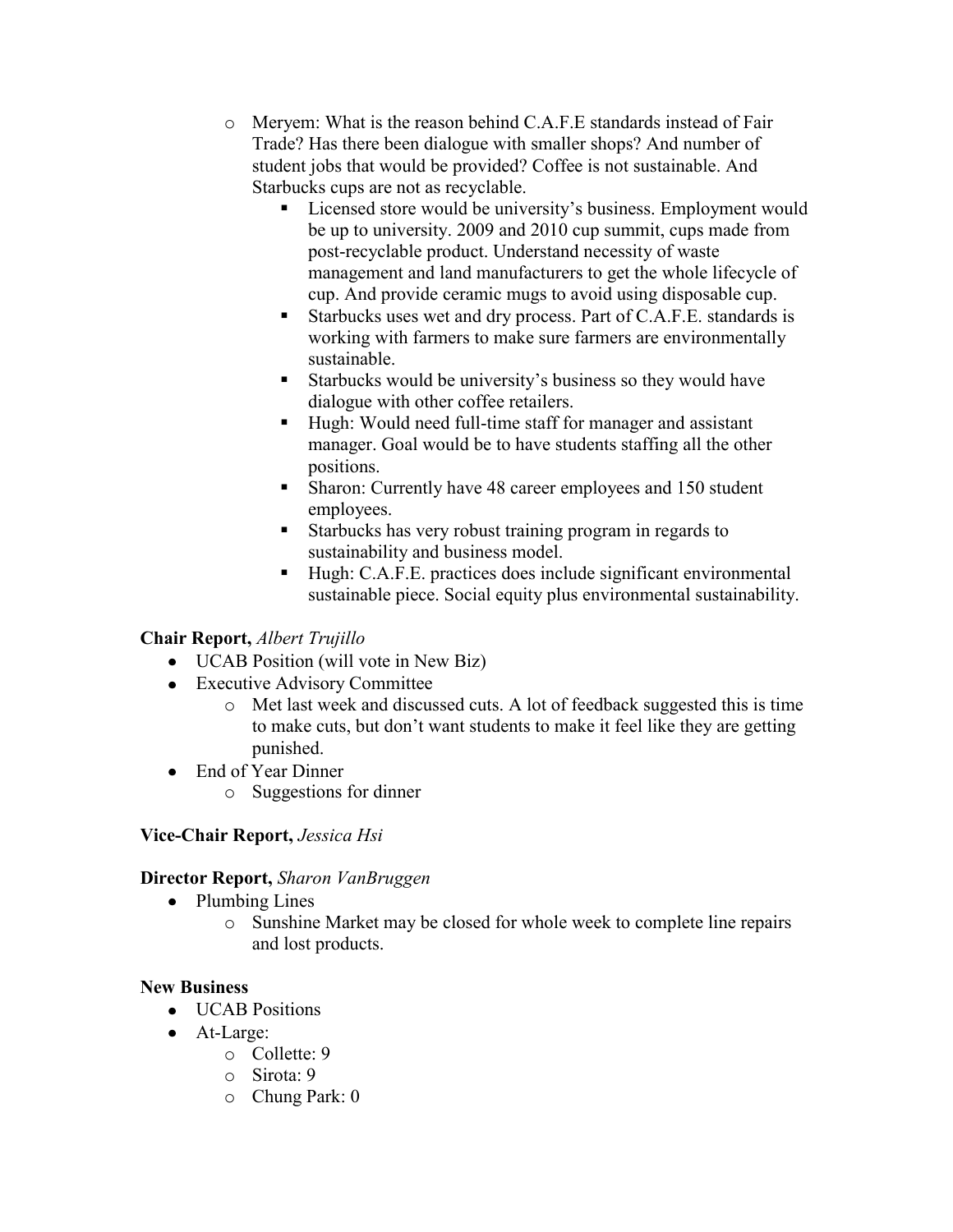- o Meryem: What is the reason behind C.A.F.E standards instead of Fair Trade? Has there been dialogue with smaller shops? And number of student jobs that would be provided? Coffee is not sustainable. And Starbucks cups are not as recyclable.
	- Licensed store would be university's business. Employment would be up to university. 2009 and 2010 cup summit, cups made from post-recyclable product. Understand necessity of waste management and land manufacturers to get the whole lifecycle of cup. And provide ceramic mugs to avoid using disposable cup.
	- Starbucks uses wet and dry process. Part of C.A.F.E. standards is working with farmers to make sure farmers are environmentally sustainable.
	- Starbucks would be university's business so they would have dialogue with other coffee retailers.
	- Hugh: Would need full-time staff for manager and assistant manager. Goal would be to have students staffing all the other positions.
	- Sharon: Currently have 48 career employees and 150 student employees.
	- Starbucks has very robust training program in regards to sustainability and business model.
	- Hugh: C.A.F.E. practices does include significant environmental sustainable piece. Social equity plus environmental sustainability.

# **Chair Report,** *Albert Trujillo*

- UCAB Position (will vote in New Biz)
- Executive Advisory Committee
	- o Met last week and discussed cuts. A lot of feedback suggested this is time to make cuts, but don't want students to make it feel like they are getting punished.
- End of Year Dinner
	- o Suggestions for dinner

# **Vice-Chair Report,** *Jessica Hsi*

# **Director Report,** *Sharon VanBruggen*

- Plumbing Lines
	- o Sunshine Market may be closed for whole week to complete line repairs and lost products.

# **New Business**

- UCAB Positions
- At-Large:
	- o Collette: 9
	- o Sirota: 9
	- o Chung Park: 0